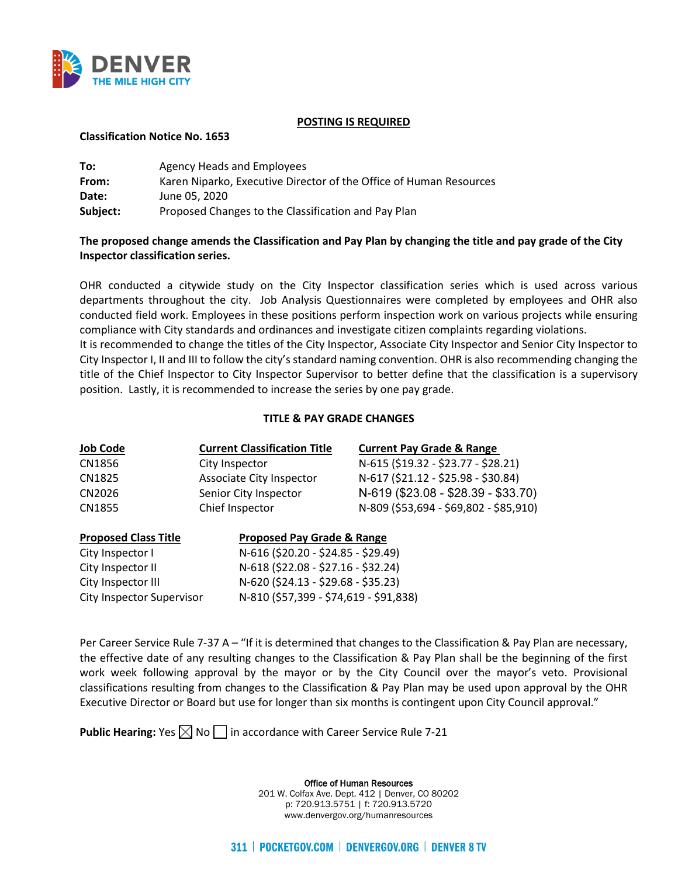

### **POSTING IS REQUIRED**

### **Classification Notice No. 1653**

| To:      | Agency Heads and Employees                                         |
|----------|--------------------------------------------------------------------|
| From:    | Karen Niparko, Executive Director of the Office of Human Resources |
| Date:    | June 05, 2020                                                      |
| Subject: | Proposed Changes to the Classification and Pay Plan                |

# **The proposed change amends the Classification and Pay Plan by changing the title and pay grade of the City Inspector classification series.**

OHR conducted a citywide study on the City Inspector classification series which is used across various departments throughout the city. Job Analysis Questionnaires were completed by employees and OHR also conducted field work. Employees in these positions perform inspection work on various projects while ensuring compliance with City standards and ordinances and investigate citizen complaints regarding violations. It is recommended to change the titles of the City Inspector, Associate City Inspector and Senior City Inspector to City Inspector I, II and III to follow the city's standard naming convention. OHR is also recommending changing the title of the Chief Inspector to City Inspector Supervisor to better define that the classification is a supervisory position. Lastly, it is recommended to increase the series by one pay grade.

## **TITLE & PAY GRADE CHANGES**

| <b>Job Code</b>             | <b>Current Classification Title</b>   | <b>Current Pay Grade &amp; Range</b>   |
|-----------------------------|---------------------------------------|----------------------------------------|
| CN1856                      | City Inspector                        | N-615 (\$19.32 - \$23.77 - \$28.21)    |
| CN1825                      | Associate City Inspector              | N-617 (\$21.12 - \$25.98 - \$30.84)    |
| CN2026                      | Senior City Inspector                 | N-619 (\$23.08 - \$28.39 - \$33.70)    |
| CN1855                      | Chief Inspector                       | N-809 (\$53,694 - \$69,802 - \$85,910) |
| <b>Proposed Class Title</b> | <b>Proposed Pay Grade &amp; Range</b> |                                        |
| City Inspector I            | N-616 (\$20.20 - \$24.85 - \$29.49)   |                                        |
| City Inspector II           | N-618 (\$22.08 - \$27.16 - \$32.24)   |                                        |

Per Career Service Rule 7-37 A – "If it is determined that changes to the Classification & Pay Plan are necessary, the effective date of any resulting changes to the Classification & Pay Plan shall be the beginning of the first work week following approval by the mayor or by the City Council over the mayor's veto. Provisional classifications resulting from changes to the Classification & Pay Plan may be used upon approval by the OHR Executive Director or Board but use for longer than six months is contingent upon City Council approval."

**Public Hearing:** Yes  $\boxtimes$  No  $\Box$  in accordance with Career Service Rule 7-21

City Inspector III N-620 (\$24.13 - \$29.68 - \$35.23) City Inspector Supervisor N-810 (\$57,399 - \$74,619 - \$91,838)

> Office of Human Resources 201 W. Colfax Ave. Dept. 412 | Denver, CO 80202 p: 720.913.5751 | f: 720.913.5720 www.denvergov.org/humanresources